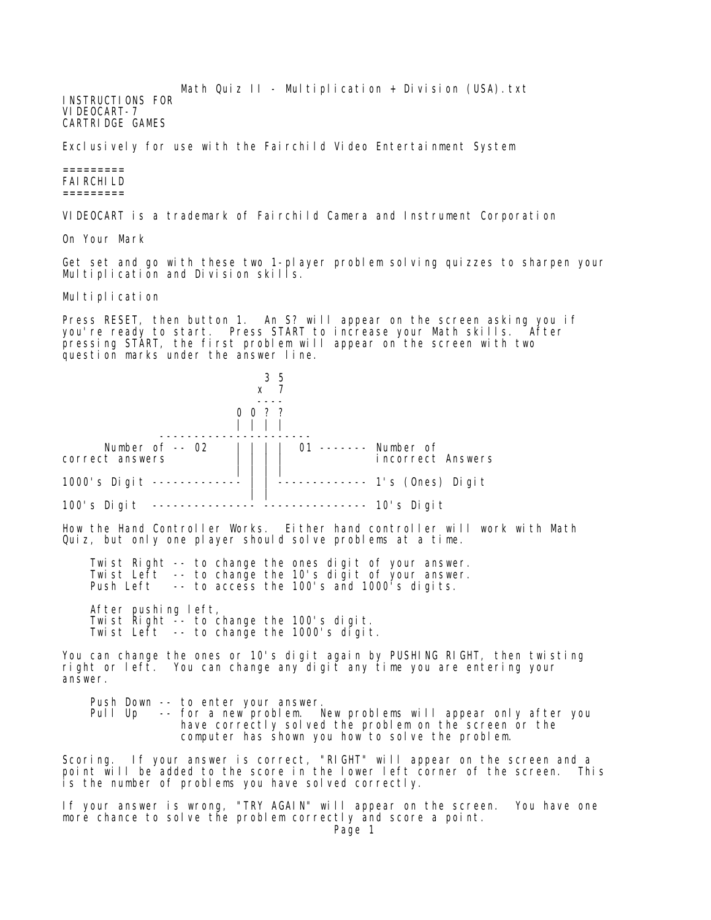Math Quiz  $II - Multiplication + Divisin (USA) .txt$ INSTRUCTIONS FOR VIDEOCART-7 CARTRIDGE GAMES

Exclusively for use with the Fairchild Video Entertainment System

## ========= FAIRCHILD =========

VIDEOCART is a trademark of Fairchild Camera and Instrument Corporation

On Your Mark

Get set and go with these two 1-player problem solving quizzes to sharpen your Multiplication and Division skills.

Multiplication

Press RESET, then button 1. An S? will appear on the screen asking you if you're ready to start. Press START to increase your Math skills. After pressing START, the first problem will appear on the screen with two question marks under the answer line.



Push Down -- to enter your answer.<br>Pull Up -- for a new problem. -- for a new problem. New problems will appear only after you have correctly solved the problem on the screen or the computer has shown you how to solve the problem.

Scoring. If your answer is correct, "RIGHT" will appear on the screen and a point will be added to the score in the lower left corner of the screen. This is the number of problems you have solved correctly.

If your answer is wrong, "TRY AGAIN" will appear on the screen. You have one more chance to solve the problem correctly and score a point.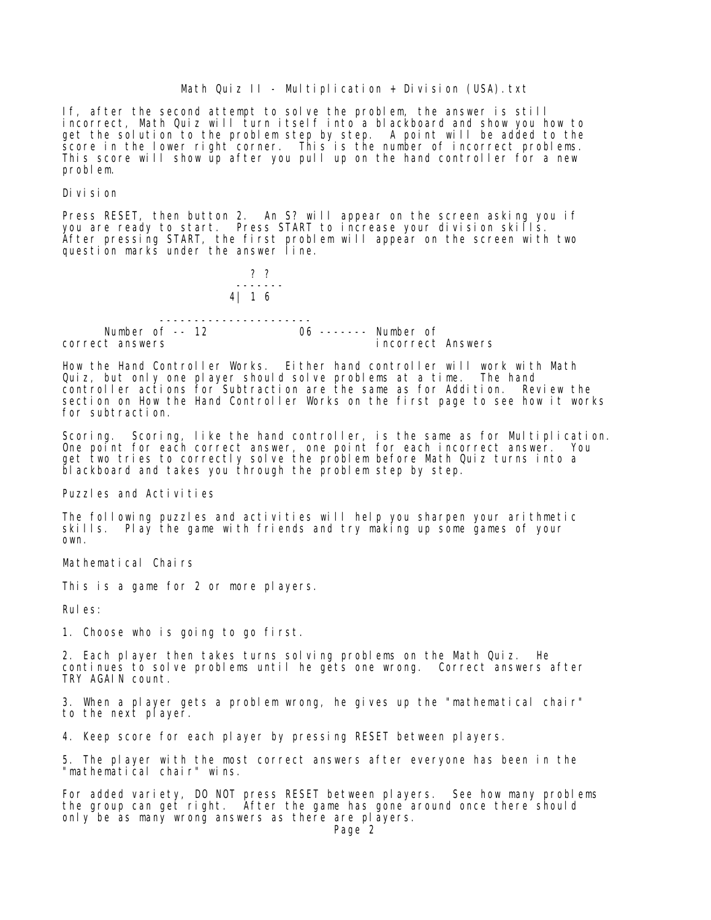If, after the second attempt to solve the problem, the answer is still incorrect, Math Quiz will turn itself into a blackboard and show you how to get the solution to the problem step by step. A point will be added to the score in the lower right corner. This is the number of incorrect problems. This score will show up after you pull up on the hand controller for a new problem.

Division

Press RESET, then button 2. An S? will appear on the screen asking you if you are ready to start. Press START to increase your division skills. After pressing START, the first problem will appear on the screen with two question marks under the answer line.



How the Hand Controller Works. Either hand controller will work with Math Quiz, but only one player should solve problems at a time. The hand controller actions for Subtraction are the same as for Addition. Review the section on How the Hand Controller Works on the first page to see how it works for subtraction.

Scoring. Scoring, like the hand controller, is the same as for Multiplication. One point for each correct answer, one point for each incorrect answer. You get two tries to correctly solve the problem before Math Quiz turns into a blackboard and takes you through the problem step by step.

Puzzles and Activities

The following puzzles and activities will help you sharpen your arithmetic skills. Play the game with friends and try making up some games of your own.

Mathematical Chairs

This is a game for 2 or more players.

Rules:

1. Choose who is going to go first.

2. Each player then takes turns solving problems on the Math Quiz. He continues to solve problems until he gets one wrong. Correct answers after TRY AGAIN count.

3. When a player gets a problem wrong, he gives up the "mathematical chair" to the next player.

4. Keep score for each player by pressing RESET between players.

5. The player with the most correct answers after everyone has been in the "mathematical chair" wins.

For added variety, DO NOT press RESET between players. See how many problems the group can get right. After the game has gone around once there should only be as many wrong answers as there are players.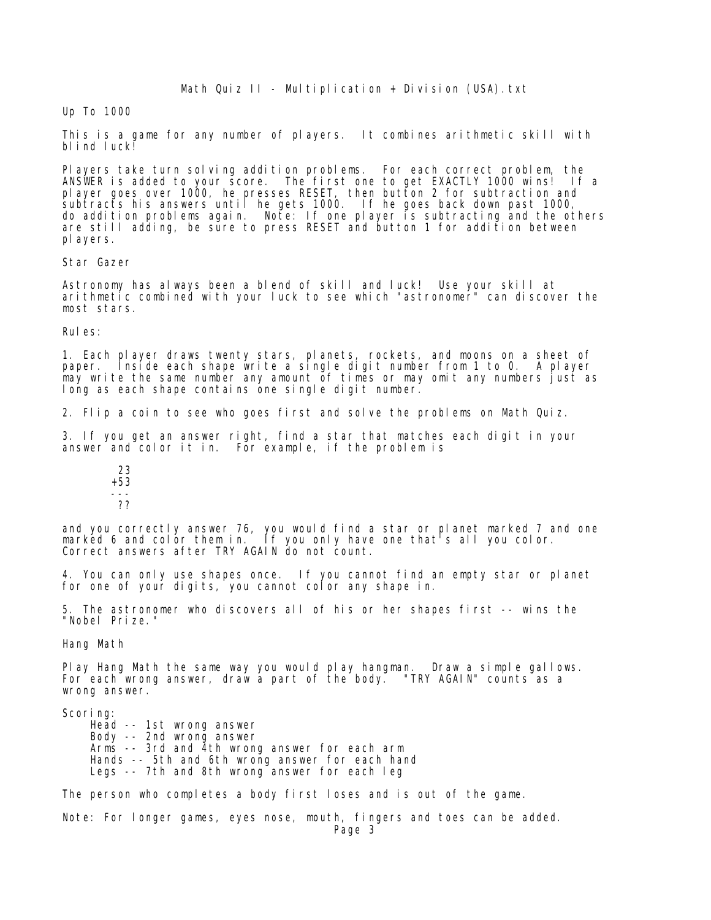## Up To 1000

This is a game for any number of players. It combines arithmetic skill with blind luck!

Players take turn solving addition problems. For each correct problem, the ANSWER is added to your score. The first one to get EXACTLY 1000 wins! If a player goes over 1000, he presses RESET, then button 2 for subtraction and subtracts his answers until he gets 1000. If he goes back down past 1000, do addition problems again. Note: If one player is subtracting and the others are still adding, be sure to press RESET and button 1 for addition between players.

Star Gazer

Astronomy has always been a blend of skill and luck! Use your skill at arithmetic combined with your luck to see which "astronomer" can discover the most stars.

Rules:

1. Each player draws twenty stars, planets, rockets, and moons on a sheet of paper. Inside each shape write a single digit number from 1 to 0. A player may write the same number any amount of times or may omit any numbers just as long as each shape contains one single digit number.

2. Flip a coin to see who goes first and solve the problems on Math Quiz.

3. If you get an answer right, find a star that matches each digit in your answer and color it in. For example, if the problem is

 23 +53 --- ??

and you correctly answer 76, you would find a star or planet marked 7 and one marked 6 and color them in. If you only have one that's all you color. Correct answers after TRY AGAIN do not count.

4. You can only use shapes once. If you cannot find an empty star or planet for one of your digits, you cannot color any shape in.

5. The astronomer who discovers all of his or her shapes first -- wins the "Nobel Prize."

Hang Math

Play Hang Math the same way you would play hangman. Draw a simple gallows. For each wrong answer, draw a part of the body. "TRY AGAIN" counts as a wrong answer.

Scoring:

 Head -- 1st wrong answer Body -- 2nd wrong answer Arms -- 3rd and 4th wrong answer for each arm Hands -- 5th and 6th wrong answer for each hand Legs -- 7th and 8th wrong answer for each leg

The person who completes a body first loses and is out of the game.

Note: For longer games, eyes nose, mouth, fingers and toes can be added.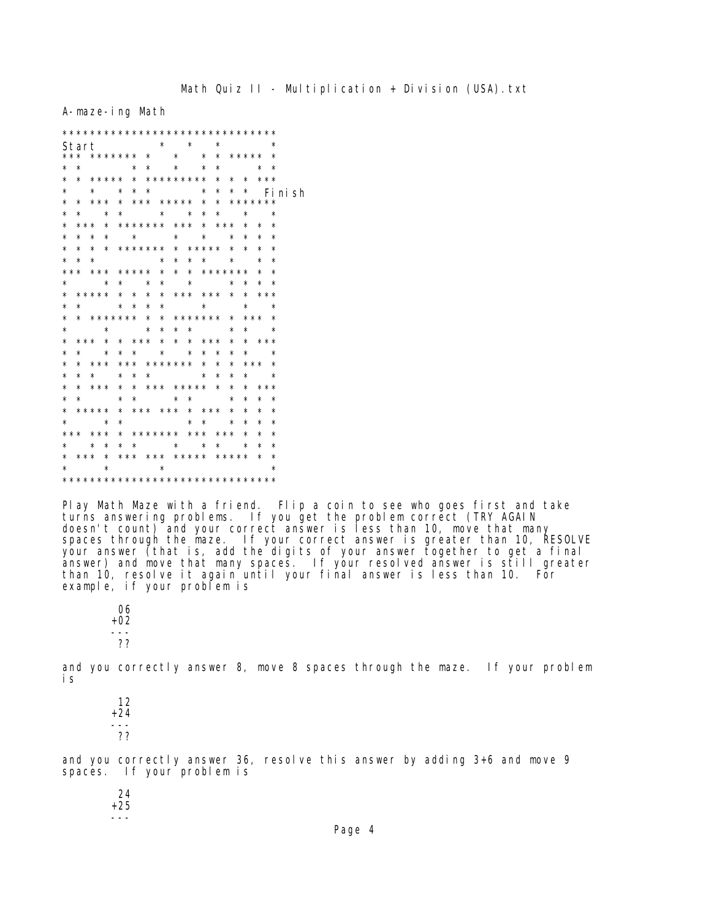A-maze-ing Math

| Start                         |                                 |                   |  |            |         |                 |  | $\star$ $\star$                 |         |                 |  |         | $\star$                                 |          |                         |            |                 | $\star$  |  |
|-------------------------------|---------------------------------|-------------------|--|------------|---------|-----------------|--|---------------------------------|---------|-----------------|--|---------|-----------------------------------------|----------|-------------------------|------------|-----------------|----------|--|
|                               |                                 |                   |  |            |         |                 |  |                                 |         |                 |  |         |                                         |          | * ***** *               |            |                 |          |  |
| *                             | $^\star$                        |                   |  |            |         |                 |  | * * * *                         |         |                 |  |         |                                         |          | $\star$ $\star$ $\star$ |            |                 |          |  |
| $^\star$                      | $\star$                         | ***** * ********* |  |            |         |                 |  |                                 |         |                 |  |         |                                         |          | * * * ***               |            |                 |          |  |
| $^\star$                      |                                 | $\star$           |  |            |         |                 |  | $\star$ $\star$ $\star$         |         |                 |  | $\star$ | $^\star$                                |          | $\star$ $\star$         |            |                 | Fi ni sh |  |
| $^\star$                      | $\star$                         | *** * *** ***** * |  |            |         |                 |  |                                 |         |                 |  |         |                                         |          | * *******               |            |                 |          |  |
| *                             | $\star$                         | $\star$           |  |            |         |                 |  | * * * *                         |         |                 |  |         |                                         |          | $\star$ $\star$         |            | $\star$         |          |  |
| $^\star$                      | *** * ******* *** * *** *       |                   |  |            |         |                 |  |                                 |         |                 |  |         |                                         |          |                         | $\star$    |                 | $\star$  |  |
| $^\star$                      | $^\star$                        | $^{\star}$        |  |            |         |                 |  |                                 |         |                 |  |         | $\star$ $\star$ $\star$ $\star$ $\star$ |          | $^\star$                | $\star$    |                 | $\star$  |  |
| $^\star$                      | $\star$                         |                   |  |            |         |                 |  |                                 |         |                 |  |         | * * ******* * ***** *                   |          | $\star$                 | $\star$    |                 | $\star$  |  |
| $^\star$                      | $\star$                         | $\star$           |  |            |         |                 |  |                                 |         |                 |  |         |                                         |          | * * * * *               | $\star$    |                 | $\star$  |  |
|                               | *** *** ***** * * * *******     |                   |  |            |         |                 |  |                                 |         |                 |  |         |                                         |          |                         | $\star$    |                 | $\star$  |  |
| $^\star$                      |                                 | $\star$           |  |            |         | $\star$ $\star$ |  |                                 | $\star$ | $\star$         |  |         | $\star$                                 |          | $\star$                 | $\star$    |                 | ∗        |  |
|                               | * ***** * * * * *** *** * * *** |                   |  |            |         |                 |  |                                 |         |                 |  |         |                                         |          |                         |            |                 |          |  |
| $^\star$                      | $\star$                         | $\star$           |  |            |         |                 |  | * * *                           |         |                 |  |         | $\star$ and $\star$                     |          | $\star$ $\star$         |            |                 |          |  |
| $^\star$                      | * ******* * * ******* *         |                   |  |            |         |                 |  |                                 |         |                 |  |         |                                         |          | *** *                   |            |                 |          |  |
| *                             |                                 | $\star$           |  |            |         |                 |  | * * * *                         |         |                 |  |         |                                         | $^\star$ |                         |            | $\star$ $\star$ |          |  |
| $^\star$                      | *** *                           |                   |  |            |         |                 |  |                                 |         |                 |  |         | * *** * * * ***                         | $\star$  |                         |            | * ***           |          |  |
| $^\star$                      | $^\star$                        | $\star$           |  | $^\star$   |         |                 |  | $\star$ $\star$ $\star$         |         |                 |  | $\star$ | $\star$                                 | $^\star$ | $^\star$                |            | $\star$         |          |  |
| *                             | $^\star$                        | * * *             |  |            |         |                 |  |                                 |         |                 |  |         | *** ******* * *                         | $^\star$ |                         |            | *** *           |          |  |
| $^\star$                      | $^\star$                        | $\star$           |  |            | $\star$ |                 |  | $\star$ $\star$ $\star$ $\star$ |         |                 |  |         |                                         | $^\star$ | $^\star$                |            | $\star$         |          |  |
| *                             | $\star$                         | ***               |  |            | $\star$ |                 |  |                                 |         |                 |  |         | * *** ***** *                           | *        | $\star$                 |            | ***             |          |  |
| $^\star$                      | $\star$                         |                   |  | $\star$    |         |                 |  |                                 |         |                 |  |         | $\star$ $\star$ $\star$                 | $^\star$ | $^\star$                | $\star$    |                 | $\star$  |  |
| $^\star$                      | ***** * *** *** * *** *         |                   |  |            |         |                 |  |                                 |         |                 |  |         |                                         |          | $^\star$                | $^\star$   |                 | $\star$  |  |
| $^\star$                      | $\star$                         |                   |  | $^{\star}$ |         |                 |  |                                 |         | $\star$ $\star$ |  |         |                                         | $\star$  | $^\star$                | $^{\star}$ |                 | $\star$  |  |
|                               | * * * * * *                     |                   |  |            |         |                 |  |                                 |         |                 |  |         | * ******* *** *** *                     |          |                         | $^\star$   |                 | $\star$  |  |
| $^\star$                      | $\star$ $\star$                 |                   |  |            |         |                 |  |                                 |         |                 |  |         | * * * * * *                             |          | $\star$                 | $^{\star}$ |                 | $\star$  |  |
| * *** * *** *** ***** ***** * |                                 |                   |  |            |         |                 |  |                                 |         |                 |  |         |                                         |          |                         |            |                 | $\star$  |  |
| $^\star$                      | $\star$ $\star$                 |                   |  |            |         |                 |  | $\star$ $\star$                 |         |                 |  |         |                                         |          |                         |            |                 | $^\star$ |  |
|                               |                                 |                   |  |            |         |                 |  |                                 |         |                 |  |         |                                         |          |                         |            |                 |          |  |

Play Math Maze with a friend. Flip a coin to see who goes first and take turns answering problems. If you get the problem correct (TRY AGAIN doesn't count) and your correct answer is less than 10, move that many<br>spaces through the maze. If your correct answer is greater than 10, RESOLVE<br>your answer (that is, add the digits of your answer together to get a final example, if your problem is

06  $+02$ ??

and you correctly answer 8, move 8 spaces through the maze. If your problem i s

 $12$  $+24$  $- - -$ ??

and you correctly answer 36, resolve this answer by adding 3+6 and move 9 spaces. If your problem is

24  $+25$  $- - -$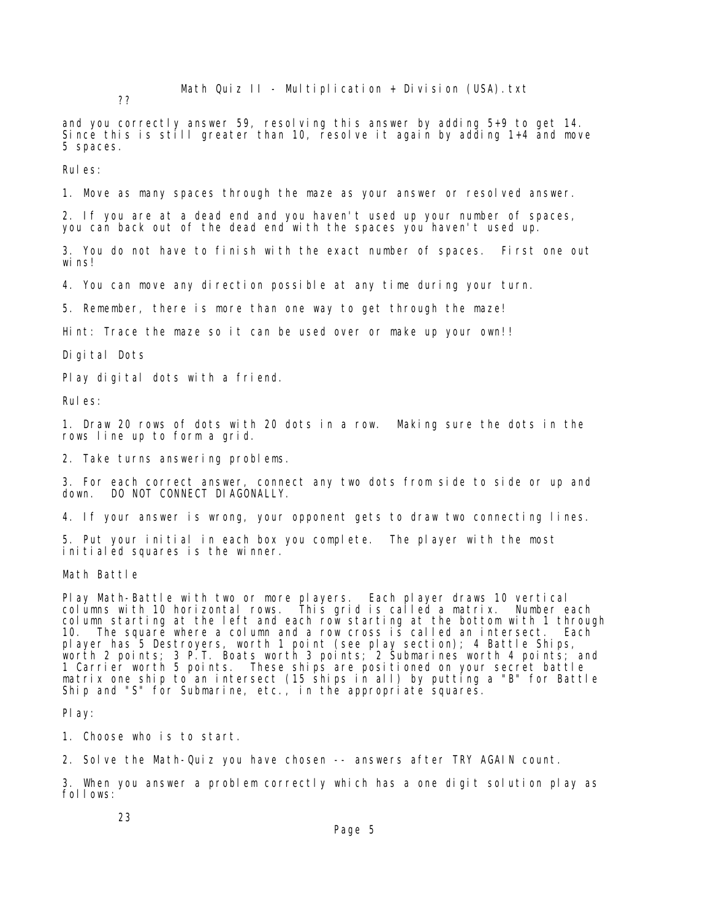Math Quiz  $II - Multiplication + Divisin (USA) .txt$ 

??

and you correctly answer 59, resolving this answer by adding 5+9 to get 14. Since this is still greater than 10, resolve it again by adding 1+4 and move 5 spaces.

Rules:

1. Move as many spaces through the maze as your answer or resolved answer.

2. If you are at a dead end and you haven't used up your number of spaces, you can back out of the dead end with the spaces you haven't used up.

3. You do not have to finish with the exact number of spaces. First one out wins!

4. You can move any direction possible at any time during your turn.

5. Remember, there is more than one way to get through the maze!

Hint: Trace the maze so it can be used over or make up your own!!

Digital Dots

Play digital dots with a friend.

Rules:

1. Draw 20 rows of dots with 20 dots in a row. Making sure the dots in the rows line up to form a grid.

2. Take turns answering problems.

3. For each correct answer, connect any two dots from side to side or up and down. DO NOT CONNECT DI AGONALLY.

4. If your answer is wrong, your opponent gets to draw two connecting lines.

5. Put your initial in each box you complete. The player with the most initialed squares is the winner.

Math Battle

Play Math-Battle with two or more players. Each player draws 10 vertical columns with 10 horizontal rows. This grid is called a matrix. Number each column starting at the left and each row starting at the bottom with 1 through 10. The square where a column and a row cross is called an intersect. Each player has 5 Destroyers, worth 1 point (see play section); 4 Battle Ships, worth 2 points; 3 P.T. Boats worth 3 points; 2 Submarines worth 4 points; and 1 Carrier worth 5 points. These ships are positioned on your secret battle matrix one ship to an intersect (15 ships in all) by putting a "B" for Battle Ship and "S" for Submarine, etc., in the appropriate squares.

Play:

1. Choose who is to start.

2. Solve the Math-Quiz you have chosen -- answers after TRY AGAIN count.

3. When you answer a problem correctly which has a one digit solution play as follows:

23